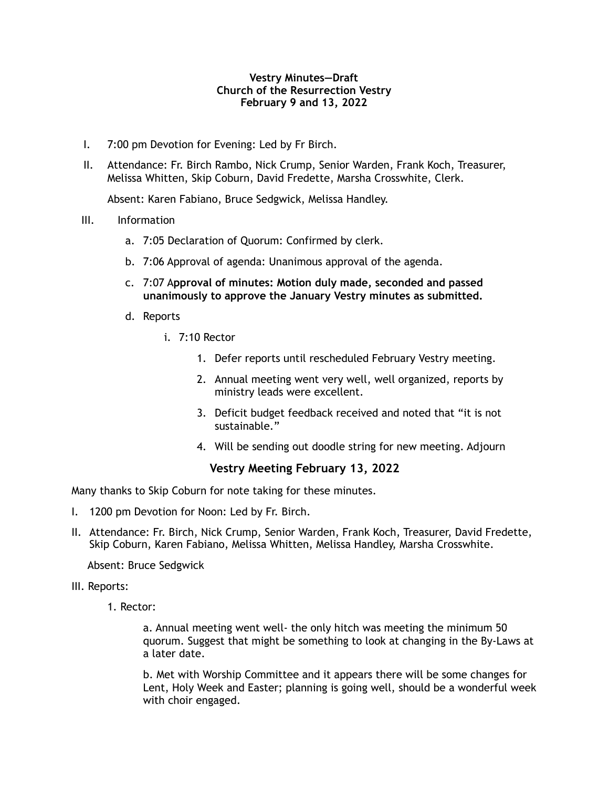## **Vestry Minutes—Draft Church of the Resurrection Vestry February 9 and 13, 2022**

- I. 7:00 pm Devotion for Evening: Led by Fr Birch.
- II. Attendance: Fr. Birch Rambo, Nick Crump, Senior Warden, Frank Koch, Treasurer, Melissa Whitten, Skip Coburn, David Fredette, Marsha Crosswhite, Clerk.

Absent: Karen Fabiano, Bruce Sedgwick, Melissa Handley.

- III. Information
	- a. 7:05 Declaration of Quorum: Confirmed by clerk.
	- b. 7:06 Approval of agenda: Unanimous approval of the agenda.
	- c. 7:07 A**pproval of minutes: Motion duly made, seconded and passed unanimously to approve the January Vestry minutes as submitted.**
	- d. Reports
		- i. 7:10 Rector
			- 1. Defer reports until rescheduled February Vestry meeting.
			- 2. Annual meeting went very well, well organized, reports by ministry leads were excellent.
			- 3. Deficit budget feedback received and noted that "it is not sustainable."
			- 4. Will be sending out doodle string for new meeting. Adjourn

# **Vestry Meeting February 13, 2022**

Many thanks to Skip Coburn for note taking for these minutes.

- I. 1200 pm Devotion for Noon: Led by Fr. Birch.
- II. Attendance: Fr. Birch, Nick Crump, Senior Warden, Frank Koch, Treasurer, David Fredette, Skip Coburn, Karen Fabiano, Melissa Whitten, Melissa Handley, Marsha Crosswhite.

Absent: Bruce Sedgwick

- III. Reports:
	- 1. Rector:

 a. Annual meeting went well- the only hitch was meeting the minimum 50 quorum. Suggest that might be something to look at changing in the By-Laws at a later date.

 b. Met with Worship Committee and it appears there will be some changes for Lent, Holy Week and Easter; planning is going well, should be a wonderful week with choir engaged.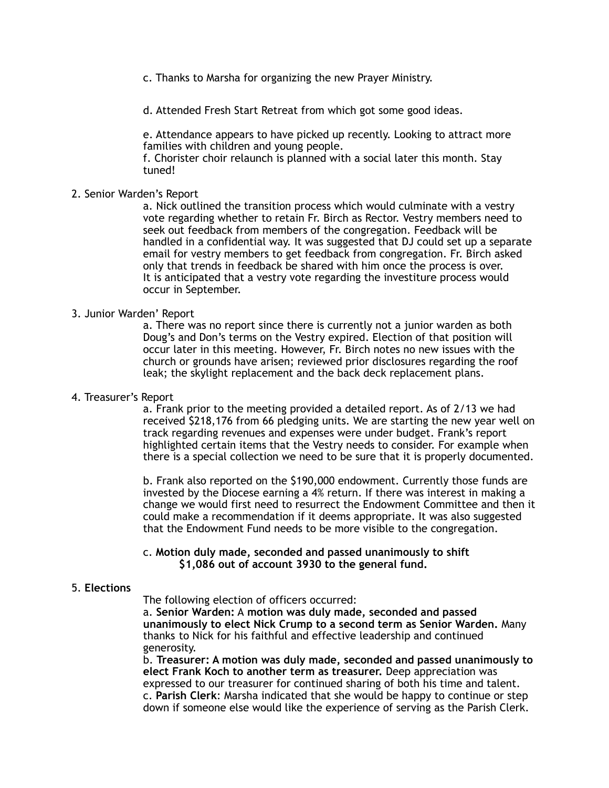c. Thanks to Marsha for organizing the new Prayer Ministry.

d. Attended Fresh Start Retreat from which got some good ideas.

 e. Attendance appears to have picked up recently. Looking to attract more families with children and young people.

 f. Chorister choir relaunch is planned with a social later this month. Stay tuned!

## 2. Senior Warden's Report

 a. Nick outlined the transition process which would culminate with a vestry vote regarding whether to retain Fr. Birch as Rector. Vestry members need to seek out feedback from members of the congregation. Feedback will be handled in a confidential way. It was suggested that DJ could set up a separate email for vestry members to get feedback from congregation. Fr. Birch asked only that trends in feedback be shared with him once the process is over. It is anticipated that a vestry vote regarding the investiture process would occur in September.

#### 3. Junior Warden' Report

 a. There was no report since there is currently not a junior warden as both Doug's and Don's terms on the Vestry expired. Election of that position will occur later in this meeting. However, Fr. Birch notes no new issues with the church or grounds have arisen; reviewed prior disclosures regarding the roof leak; the skylight replacement and the back deck replacement plans.

4. Treasurer's Report

 a. Frank prior to the meeting provided a detailed report. As of 2/13 we had received \$218,176 from 66 pledging units. We are starting the new year well on track regarding revenues and expenses were under budget. Frank's report highlighted certain items that the Vestry needs to consider. For example when there is a special collection we need to be sure that it is properly documented.

 b. Frank also reported on the \$190,000 endowment. Currently those funds are invested by the Diocese earning a 4% return. If there was interest in making a change we would first need to resurrect the Endowment Committee and then it could make a recommendation if it deems appropriate. It was also suggested that the Endowment Fund needs to be more visible to the congregation.

#### c. **Motion duly made, seconded and passed unanimously to shift \$1,086 out of account 3930 to the general fund.**

### 5. **Elections**

The following election of officers occurred:

 a. **Senior Warden:** A **motion was duly made, seconded and passed unanimously to elect Nick Crump to a second term as Senior Warden.** Many thanks to Nick for his faithful and effective leadership and continued generosity.

 b. **Treasurer: A motion was duly made, seconded and passed unanimously to elect Frank Koch to another term as treasurer.** Deep appreciation was expressed to our treasurer for continued sharing of both his time and talent. c. **Parish Clerk**: Marsha indicated that she would be happy to continue or step down if someone else would like the experience of serving as the Parish Clerk.